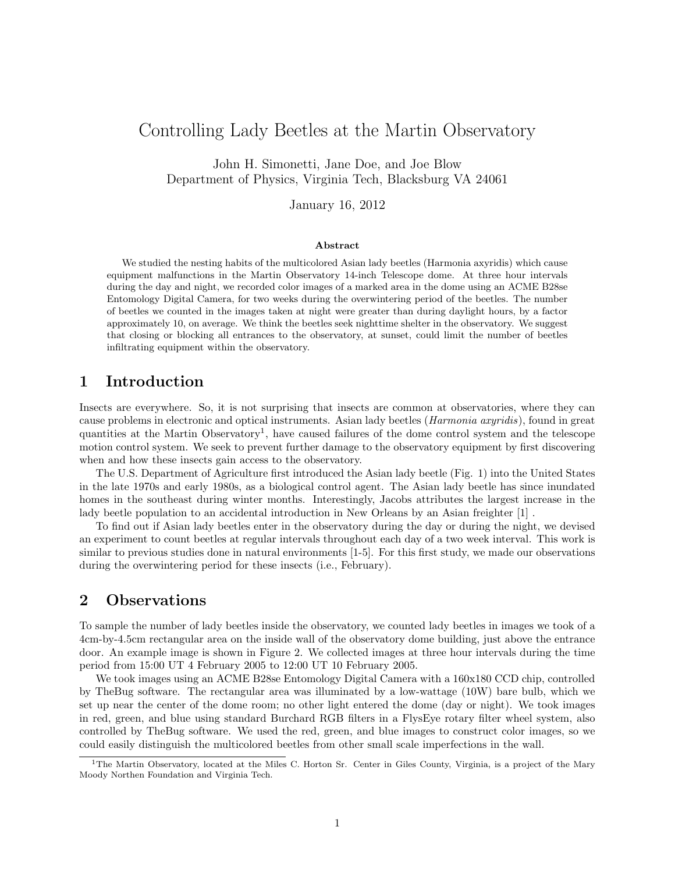# Controlling Lady Beetles at the Martin Observatory

John H. Simonetti, Jane Doe, and Joe Blow Department of Physics, Virginia Tech, Blacksburg VA 24061

January 16, 2012

#### Abstract

We studied the nesting habits of the multicolored Asian lady beetles (Harmonia axyridis) which cause equipment malfunctions in the Martin Observatory 14-inch Telescope dome. At three hour intervals during the day and night, we recorded color images of a marked area in the dome using an ACME B28se Entomology Digital Camera, for two weeks during the overwintering period of the beetles. The number of beetles we counted in the images taken at night were greater than during daylight hours, by a factor approximately 10, on average. We think the beetles seek nighttime shelter in the observatory. We suggest that closing or blocking all entrances to the observatory, at sunset, could limit the number of beetles infiltrating equipment within the observatory.

### 1 Introduction

Insects are everywhere. So, it is not surprising that insects are common at observatories, where they can cause problems in electronic and optical instruments. Asian lady beetles (Harmonia axyridis), found in great quantities at the Martin Observatory<sup>1</sup>, have caused failures of the dome control system and the telescope motion control system. We seek to prevent further damage to the observatory equipment by first discovering when and how these insects gain access to the observatory.

The U.S. Department of Agriculture first introduced the Asian lady beetle (Fig. 1) into the United States in the late 1970s and early 1980s, as a biological control agent. The Asian lady beetle has since inundated homes in the southeast during winter months. Interestingly, Jacobs attributes the largest increase in the lady beetle population to an accidental introduction in New Orleans by an Asian freighter [1] .

To find out if Asian lady beetles enter in the observatory during the day or during the night, we devised an experiment to count beetles at regular intervals throughout each day of a two week interval. This work is similar to previous studies done in natural environments [1-5]. For this first study, we made our observations during the overwintering period for these insects (i.e., February).

## 2 Observations

To sample the number of lady beetles inside the observatory, we counted lady beetles in images we took of a 4cm-by-4.5cm rectangular area on the inside wall of the observatory dome building, just above the entrance door. An example image is shown in Figure 2. We collected images at three hour intervals during the time period from 15:00 UT 4 February 2005 to 12:00 UT 10 February 2005.

We took images using an ACME B28se Entomology Digital Camera with a  $160x180$  CCD chip, controlled by TheBug software. The rectangular area was illuminated by a low-wattage (10W) bare bulb, which we set up near the center of the dome room; no other light entered the dome (day or night). We took images in red, green, and blue using standard Burchard RGB filters in a FlysEye rotary filter wheel system, also controlled by TheBug software. We used the red, green, and blue images to construct color images, so we could easily distinguish the multicolored beetles from other small scale imperfections in the wall.

<sup>&</sup>lt;sup>1</sup>The Martin Observatory, located at the Miles C. Horton Sr. Center in Giles County, Virginia, is a project of the Mary Moody Northen Foundation and Virginia Tech.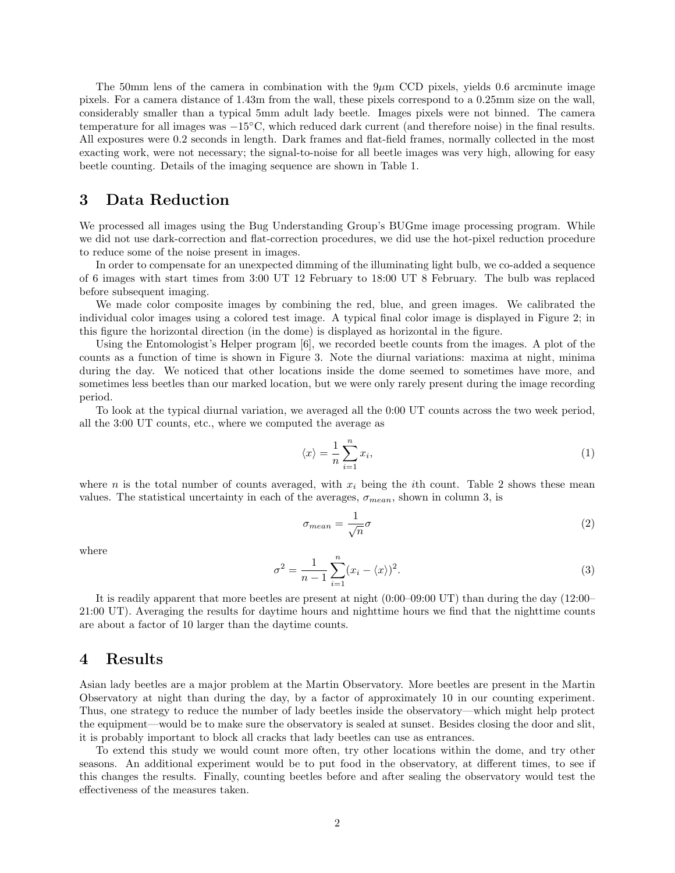The 50mm lens of the camera in combination with the  $9\mu$ m CCD pixels, yields 0.6 arcminute image pixels. For a camera distance of 1.43m from the wall, these pixels correspond to a 0.25mm size on the wall, considerably smaller than a typical 5mm adult lady beetle. Images pixels were not binned. The camera temperature for all images was −15◦C, which reduced dark current (and therefore noise) in the final results. All exposures were 0.2 seconds in length. Dark frames and flat-field frames, normally collected in the most exacting work, were not necessary; the signal-to-noise for all beetle images was very high, allowing for easy beetle counting. Details of the imaging sequence are shown in Table 1.

## 3 Data Reduction

We processed all images using the Bug Understanding Group's BUGme image processing program. While we did not use dark-correction and flat-correction procedures, we did use the hot-pixel reduction procedure to reduce some of the noise present in images.

In order to compensate for an unexpected dimming of the illuminating light bulb, we co-added a sequence of 6 images with start times from 3:00 UT 12 February to 18:00 UT 8 February. The bulb was replaced before subsequent imaging.

We made color composite images by combining the red, blue, and green images. We calibrated the individual color images using a colored test image. A typical final color image is displayed in Figure 2; in this figure the horizontal direction (in the dome) is displayed as horizontal in the figure.

Using the Entomologist's Helper program [6], we recorded beetle counts from the images. A plot of the counts as a function of time is shown in Figure 3. Note the diurnal variations: maxima at night, minima during the day. We noticed that other locations inside the dome seemed to sometimes have more, and sometimes less beetles than our marked location, but we were only rarely present during the image recording period.

To look at the typical diurnal variation, we averaged all the 0:00 UT counts across the two week period, all the 3:00 UT counts, etc., where we computed the average as

$$
\langle x \rangle = \frac{1}{n} \sum_{i=1}^{n} x_i,\tag{1}
$$

where n is the total number of counts averaged, with  $x_i$  being the *i*th count. Table 2 shows these mean values. The statistical uncertainty in each of the averages,  $\sigma_{mean}$ , shown in column 3, is

$$
\sigma_{mean} = \frac{1}{\sqrt{n}} \sigma \tag{2}
$$

where

$$
\sigma^2 = \frac{1}{n-1} \sum_{i=1}^n (x_i - \langle x \rangle)^2.
$$
 (3)

It is readily apparent that more beetles are present at night (0:00–09:00 UT) than during the day (12:00– 21:00 UT). Averaging the results for daytime hours and nighttime hours we find that the nighttime counts are about a factor of 10 larger than the daytime counts.

#### 4 Results

Asian lady beetles are a major problem at the Martin Observatory. More beetles are present in the Martin Observatory at night than during the day, by a factor of approximately 10 in our counting experiment. Thus, one strategy to reduce the number of lady beetles inside the observatory—which might help protect the equipment—would be to make sure the observatory is sealed at sunset. Besides closing the door and slit, it is probably important to block all cracks that lady beetles can use as entrances.

To extend this study we would count more often, try other locations within the dome, and try other seasons. An additional experiment would be to put food in the observatory, at different times, to see if this changes the results. Finally, counting beetles before and after sealing the observatory would test the effectiveness of the measures taken.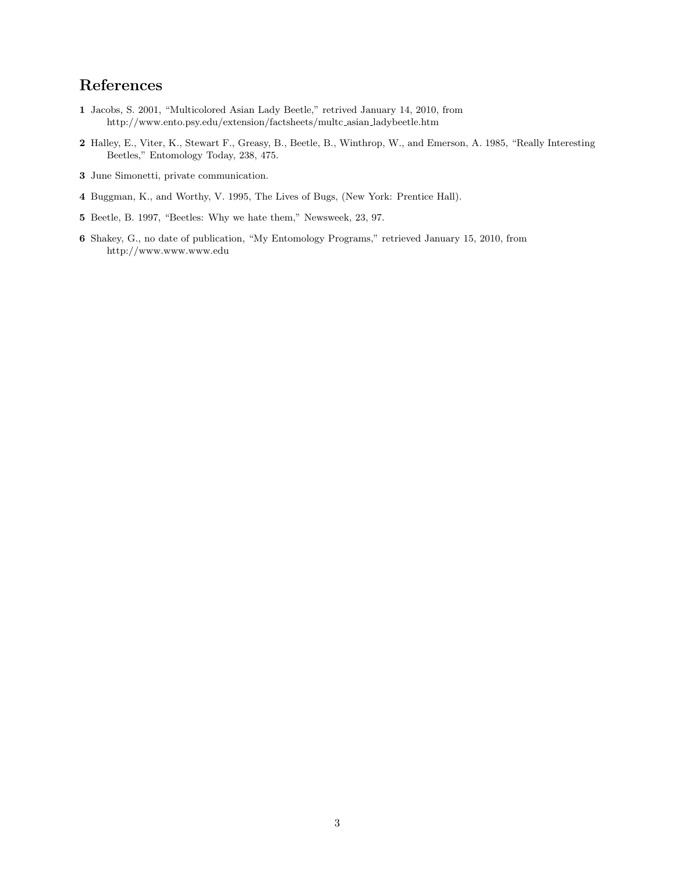# References

- Jacobs, S. 2001, "Multicolored Asian Lady Beetle," retrived January 14, 2010, from http://www.ento.psy.edu/extension/factsheets/multc asian ladybeetle.htm
- Halley, E., Viter, K., Stewart F., Greasy, B., Beetle, B., Winthrop, W., and Emerson, A. 1985, "Really Interesting Beetles," Entomology Today, 238, 475.
- June Simonetti, private communication.
- Buggman, K., and Worthy, V. 1995, The Lives of Bugs, (New York: Prentice Hall).
- Beetle, B. 1997, "Beetles: Why we hate them," Newsweek, 23, 97.
- Shakey, G., no date of publication, "My Entomology Programs," retrieved January 15, 2010, from http://www.www.www.edu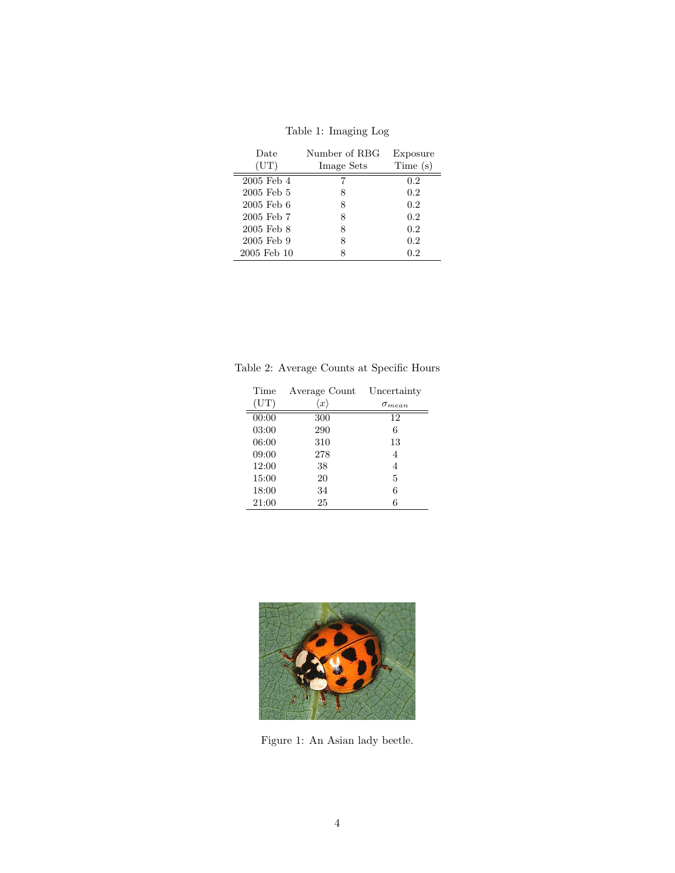| Date           | Number of RBG | Exposure |
|----------------|---------------|----------|
| (UT)           | Image Sets    | Time(s)  |
| 2005 Feb 4     |               | 0.2      |
| $2005$ Feb $5$ | 8             | 0.2      |
| $2005$ Feb $6$ | 8             | 0.2      |
| 2005 Feb 7     | 8             | 0.2      |
| 2005 Feb 8     | 8             | 0.2      |
| 2005 Feb 9     | 8             | 0.2      |
| 2005 Feb 10    | 8             | 0.2      |

Table 1: Imaging Log

Table 2: Average Counts at Specific Hours

| Time  | Average Count       | Uncertainty     |
|-------|---------------------|-----------------|
| (UT)  | $\langle x \rangle$ | $\sigma_{mean}$ |
| 00:00 | 300                 | 12              |
| 03:00 | 290                 | 6               |
| 06:00 | 310                 | 13              |
| 09:00 | 278                 | 4               |
| 12:00 | 38                  | 4               |
| 15:00 | 20                  | 5               |
| 18:00 | 34                  | 6               |
| 21:00 | 25                  | 6               |



Figure 1: An Asian lady beetle.